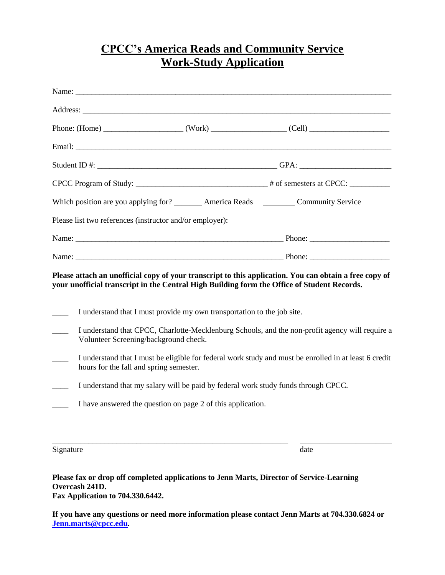## **CPCC's America Reads and Community Service Work-Study Application**

| CPCC Program of Study: __________________________________# of semesters at CPCC: ___________________                                                                                                                           |  |
|--------------------------------------------------------------------------------------------------------------------------------------------------------------------------------------------------------------------------------|--|
| Which position are you applying for? ________ America Reads _________ Community Service                                                                                                                                        |  |
| Please list two references (instructor and/or employer):                                                                                                                                                                       |  |
| Name: Phone: Phone: Phone: Phone: Phone: Phone: Phone: Phone: Phone: Phone: Phone: Phone: Phone: Phone: Phone: Phone: Phone: Phone: Phone: Phone: Phone: Phone: Phone: Phone: Phone: Phone: Phone: Phone: Phone: Phone: Phone: |  |
|                                                                                                                                                                                                                                |  |
| Please attach an unofficial copy of your transcript to this application. You can obtain a free copy of<br>your unofficial transcript in the Central High Building form the Office of Student Records.                          |  |
| I understand that I must provide my own transportation to the job site.                                                                                                                                                        |  |
|                                                                                                                                                                                                                                |  |
| I understand that CPCC, Charlotte-Mecklenburg Schools, and the non-profit agency will require a<br>Volunteer Screening/background check.                                                                                       |  |
| I understand that I must be eligible for federal work study and must be enrolled in at least 6 credit<br>hours for the fall and spring semester.                                                                               |  |
| I understand that my salary will be paid by federal work study funds through CPCC.                                                                                                                                             |  |

Signature date date

**Please fax or drop off completed applications to Jenn Marts, Director of Service-Learning Overcash 241D. Fax Application to 704.330.6442.**

**If you have any questions or need more information please contact Jenn Marts at 704.330.6824 or [Jenn.marts@cpcc.edu.](mailto:Jenn.marts@cpcc.edu)** 

\_\_\_\_\_\_\_\_\_\_\_\_\_\_\_\_\_\_\_\_\_\_\_\_\_\_\_\_\_\_\_\_\_\_\_\_\_\_\_\_\_\_\_\_\_\_\_\_\_\_\_\_\_\_\_\_\_\_\_ \_\_\_\_\_\_\_\_\_\_\_\_\_\_\_\_\_\_\_\_\_\_\_